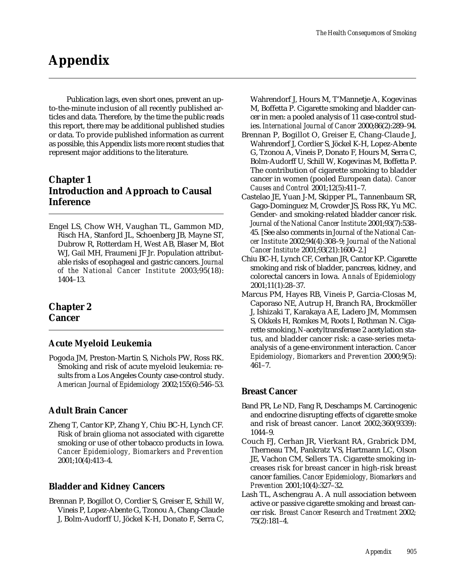# **Appendix**

Publication lags, even short ones, prevent an upto-the-minute inclusion of all recently published articles and data. Therefore, by the time the public reads this report, there may be additional published studies or data. To provide published information as current as possible, this Appendix lists more recent studies that represent major additions to the literature.

# **Chapter 1 Introduction and Approach to Causal Inference**

Engel LS, Chow WH, Vaughan TL, Gammon MD, Risch HA, Stanford JL, Schoenberg JB, Mayne ST, Dubrow R, Rotterdam H, West AB, Blaser M, Blot WJ, Gail MH, Fraumeni JF Jr. Population attributable risks of esophageal and gastric cancers. *Journal of the National Cancer Institute* 2003;95(18): 1404–13.

# **Chapter 2 Cancer**

#### **Acute Myeloid Leukemia**

Pogoda JM, Preston-Martin S, Nichols PW, Ross RK. Smoking and risk of acute myeloid leukemia: results from a Los Angeles County case-control study. *American Journal of Epidemiology* 2002;155(6):546–53.

# **Adult Brain Cancer**

Zheng T, Cantor KP, Zhang Y, Chiu BC-H, Lynch CF. Risk of brain glioma not associated with cigarette smoking or use of other tobacco products in Iowa. *Cancer Epidemiology, Biomarkers and Prevention*  2001;10(4):413–4.

# **Bladder and Kidney Cancers**

Brennan P, Bogillot O, Cordier S, Greiser E, Schill W, Vineis P, Lopez-Abente G, Tzonou A, Chang-Claude J, Bolm-Audorff U, Jöckel K-H, Donato F, Serra C, Wahrendorf J, Hours M, T'Mannetje A, Kogevinas M, Boffetta P. Cigarette smoking and bladder cancer in men: a pooled analysis of 11 case-control studies. *International Journal of Cancer* 2000;86(2):289–94.

- Brennan P, Bogillot O, Greiser E, Chang-Claude J, Wahrendorf J, Cordier S, Jöckel K-H, Lopez-Abente G, Tzonou A, Vineis P, Donato F, Hours M, Serra C, Bolm-Audorff U, Schill W, Kogevinas M, Boffetta P. The contribution of cigarette smoking to bladder cancer in women (pooled European data). *Cancer Causes and Control* 2001;12(5):411–7.
- Castelao JE, Yuan J-M, Skipper PL, Tannenbaum SR, Gago-Dominguez M, Crowder JS, Ross RK, Yu MC. Gender- and smoking-related bladder cancer risk. *Journal of the National Cancer Institute* 2001;93(7):538– 45. [See also comments in *Journal of the National Cancer Institute* 2002;94(4):308–9; *Journal of the National Cancer Institute* 2001;93(21):1600–2.]
- Chiu BC-H, Lynch CF, Cerhan JR, Cantor KP. Cigarette smoking and risk of bladder, pancreas, kidney, and colorectal cancers in Iowa. *Annals of Epidemiology*  2001;11(1):28–37.
- Marcus PM, Hayes RB, Vineis P, Garcia-Closas M, Caporaso NE, Autrup H, Branch RA, Brockmöller J, Ishizaki T, Karakaya AE, Ladero JM, Mommsen S, Okkels H, Romkes M, Roots I, Rothman N. Cigarette smoking,*N*-acetyltransferase 2 acetylation status, and bladder cancer risk: a case-series metaanalysis of a gene-environment interaction. *Cancer Epidemiology, Biomarkers and Prevention* 2000;9(5): 461–7.

#### **Breast Cancer**

- Band PR, Le ND, Fang R, Deschamps M. Carcinogenic and endocrine disrupting effects of cigarette smoke and risk of breast cancer. *Lancet* 2002;360(9339): 1044–9.
- Couch FJ, Cerhan JR, Vierkant RA, Grabrick DM, Therneau TM, Pankratz VS, Hartmann LC, Olson JE, Vachon CM, Sellers TA. Cigarette smoking increases risk for breast cancer in high-risk breast cancer families. *Cancer Epidemiology, Biomarkers and Prevention* 2001;10(4):327–32.
- Lash TL, Aschengrau A. A null association between active or passive cigarette smoking and breast cancer risk. *Breast Cancer Research and Treatment* 2002; 75(2):181–4.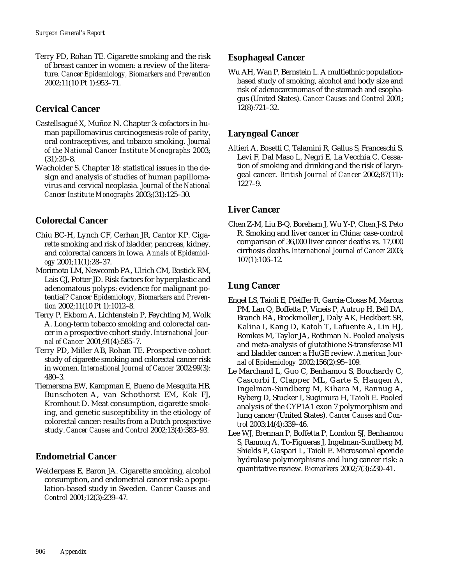Terry PD, Rohan TE. Cigarette smoking and the risk of breast cancer in women: a review of the literature. *Cancer Epidemiology, Biomarkers and Prevention*  2002;11(10 Pt 1):953–71.

# **Cervical Cancer**

- Castellsagué X, Muñoz N. Chapter 3: cofactors in human papillomavirus carcinogenesis-role of parity, oral contraceptives, and tobacco smoking. *Journal of the National Cancer Institute Monographs* 2003; (31):20–8.
- Wacholder S. Chapter 18: statistical issues in the design and analysis of studies of human papillomavirus and cervical neoplasia. *Journal of the National Cancer Institute Monographs* 2003;(31):125–30.

# **Colorectal Cancer**

- Chiu BC-H, Lynch CF, Cerhan JR, Cantor KP. Cigarette smoking and risk of bladder, pancreas, kidney, and colorectal cancers in Iowa. *Annals of Epidemiology* 2001;11(1):28–37.
- Morimoto LM, Newcomb PA, Ulrich CM, Bostick RM, Lais CJ, Potter JD. Risk factors for hyperplastic and adenomatous polyps: evidence for malignant potential? *Cancer Epidemiology, Biomarkers and Prevention* 2002;11(10 Pt 1):1012–8.
- Terry P, Ekbom A, Lichtenstein P, Feychting M, Wolk A. Long-term tobacco smoking and colorectal cancer in a prospective cohort study. *International Journal of Cancer* 2001;91(4):585–7.
- Terry PD, Miller AB, Rohan TE. Prospective cohort study of cigarette smoking and colorectal cancer risk in women. *International Journal of Cancer* 2002;99(3): 480–3.
- Tiemersma EW, Kampman E, Bueno de Mesquita HB, Bunschoten A, van Schothorst EM, Kok FJ, Kromhout D. Meat consumption, cigarette smoking, and genetic susceptibility in the etiology of colorectal cancer: results from a Dutch prospective study. *Cancer Causes and Control* 2002;13(4):383–93.

#### **Endometrial Cancer**

Weiderpass E, Baron JA. Cigarette smoking, alcohol consumption, and endometrial cancer risk: a population-based study in Sweden. *Cancer Causes and Control* 2001;12(3):239–47.

#### **Esophageal Cancer**

Wu AH, Wan P, Bernstein L. A multiethnic populationbased study of smoking, alcohol and body size and risk of adenocarcinomas of the stomach and esophagus (United States). *Cancer Causes and Control* 2001; 12(8):721–32.

### **Laryngeal Cancer**

Altieri A, Bosetti C, Talamini R, Gallus S, Franceschi S, Levi F, Dal Maso L, Negri E, La Vecchia C. Cessation of smoking and drinking and the risk of laryngeal cancer. *British Journal of Cancer* 2002;87(11): 1227–9.

#### **Liver Cancer**

Chen Z-M, Liu B-Q, Boreham J, Wu Y-P, Chen J-S, Peto R. Smoking and liver cancer in China: case-control comparison of 36,000 liver cancer deaths *vs.* 17,000 cirrhosis deaths. *International Journal of Cancer* 2003; 107(1):106–12.

# **Lung Cancer**

- Engel LS, Taioli E, Pfeiffer R, Garcia-Closas M, Marcus PM, Lan Q, Boffetta P, Vineis P, Autrup H, Bell DA, Branch RA, Brockmoller J, Daly AK, Heckbert SR, Kalina I, Kang D, Katoh T, Lafuente A, Lin HJ, Romkes M, Taylor JA, Rothman N. Pooled analysis and meta-analysis of glutathione S-transferase M1 and bladder cancer: a HuGE review. *American Journal of Epidemiology* 2002;156(2):95–109.
- Le Marchand L, Guo C, Benhamou S, Bouchardy C, Cascorbi I, Clapper ML, Garte S, Haugen A, Ingelman-Sundberg M, Kihara M, Rannug A, Ryberg D, Stucker I, Sugimura H, Taioli E. Pooled analysis of the CYP1A1 exon 7 polymorphism and lung cancer (United States). *Cancer Causes and Control* 2003;14(4):339–46.
- Lee WJ, Brennan P, Boffetta P, London SJ, Benhamou S, Rannug A, To-Figueras J, Ingelman-Sundberg M, Shields P, Gaspari L, Taioli E. Microsomal epoxide hydrolase polymorphisms and lung cancer risk: a quantitative review. *Biomarkers* 2002;7(3):230–41.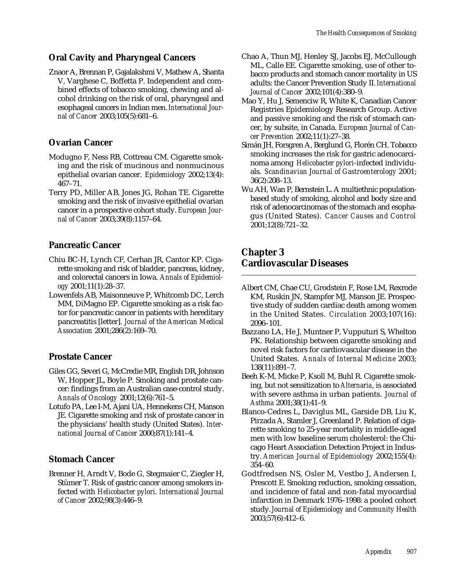#### **Oral Cavity and Pharyngeal Cancers**

Znaor A, Brennan P, Gajalakshmi V, Mathew A, Shanta V, Varghese C, Boffetta P. Independent and combined effects of tobacco smoking, chewing and alcohol drinking on the risk of oral, pharyngeal and esophageal cancers in Indian men. *International Journal of Cancer* 2003;105(5):681–6.

#### **Ovarian Cancer**

- Modugno F, Ness RB, Cottreau CM. Cigarette smoking and the risk of mucinous and nonmucinous epithelial ovarian cancer. *Epidemiology* 2002;13(4): 467–71.
- Terry PD, Miller AB, Jones JG, Rohan TE. Cigarette smoking and the risk of invasive epithelial ovarian cancer in a prospective cohort study. *European Journal of Cancer* 2003;39(8):1157–64.

#### **Pancreatic Cancer**

- Chiu BC-H, Lynch CF, Cerhan JR, Cantor KP. Cigarette smoking and risk of bladder, pancreas, kidney, and colorectal cancers in Iowa. *Annals of Epidemiology* 2001;11(1):28–37.
- Lowenfels AB, Maisonneuve P, Whitcomb DC, Lerch MM, DiMagno EP. Cigarette smoking as a risk factor for pancreatic cancer in patients with hereditary pancreatitis [letter]. *Journal of the American Medical Association* 2001;286(2):169–70.

#### **Prostate Cancer**

- Giles GG, Severi G, McCredie MR, English DR, Johnson W, Hopper JL, Boyle P. Smoking and prostate cancer: findings from an Australian case-control study. *Annals of Oncology* 2001;12(6):761–5.
- Lotufo PA, Lee I-M, Ajani UA, Hennekens CH, Manson JE. Cigarette smoking and risk of prostate cancer in the physicians' health study (United States). *International Journal of Cancer* 2000;87(1):141–4.

#### **Stomach Cancer**

Brenner H, Arndt V, Bode G, Stegmaier C, Ziegler H, Stümer T. Risk of gastric cancer among smokers infected with *Helicobacter pylori*. *International Journal of Cancer* 2002;98(3):446–9.

- Chao A, Thun MJ, Henley SJ, Jacobs EJ, McCullough ML, Calle EE. Cigarette smoking, use of other tobacco products and stomach cancer mortality in US adults: the Cancer Prevention Study II. *International Journal of Cancer* 2002;101(4):380–9.
- Mao Y, Hu J, Semenciw R, White K, Canadian Cancer Registries Epidemiology Research Group. Active and passive smoking and the risk of stomach cancer, by subsite, in Canada. *European Journal of Cancer Prevention* 2002;11(1):27–38.
- Simán JH, Forsgren A, Berglund G, Florén CH. Tobacco smoking increases the risk for gastric adenocarcinoma among *Helicobacter pylori*-infected individuals. *Scandinavian Journal of Gastroenterology* 2001; 36(2):208–13.
- Wu AH, Wan P, Bernstein L. A multiethnic populationbased study of smoking, alcohol and body size and risk of adenocarcinomas of the stomach and esophagus (United States). *Cancer Causes and Control*  2001;12(8):721–32.

# **Chapter 3 Cardiovascular Diseases**

- Albert CM, Chae CU, Grodstein F, Rose LM, Rexrode KM, Ruskin JN, Stampfer MJ, Manson JE. Prospective study of sudden cardiac death among women in the United States. *Circulation* 2003;107(16): 2096–101.
- Bazzano LA, He J, Muntner P, Vupputuri S, Whelton PK. Relationship between cigarette smoking and novel risk factors for cardiovascular disease in the United States. *Annals of Internal Medicine* 2003; 138(11):891–7.
- Beeh K-M, Micke P, Ksoll M, Buhl R. Cigarette smoking, but not sensitization to *Alternaria*, is associated with severe asthma in urban patients. *Journal of Asthma* 2001;38(1):41–9.
- Blanco-Cedres L, Daviglus ML, Garside DB, Liu K, Pirzada A, Stamler J, Greenland P. Relation of cigarette smoking to 25-year mortality in middle-aged men with low baseline serum cholesterol: the Chicago Heart Association Detection Project in Industry. *American Journal of Epidemiology* 2002;155(4): 354–60.
- Godtfredsen NS, Osler M, Vestbo J, Andersen I, Prescott E. Smoking reduction, smoking cessation, and incidence of fatal and non-fatal myocardial infarction in Denmark 1976–1998: a pooled cohort study. *Journal of Epidemiology and Community Health*  2003;57(6):412–6.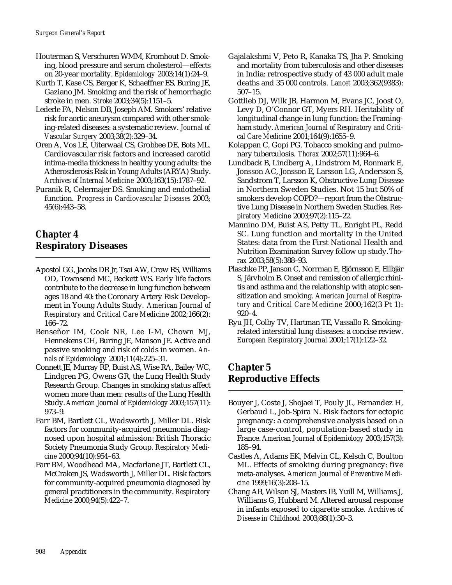- Houterman S, Verschuren WMM, Kromhout D. Smoking, blood pressure and serum cholesterol—effects on 20-year mortality. *Epidemiology* 2003;14(1):24–9.
- Kurth T, Kase CS, Berger K, Schaeffner ES, Buring JE, Gaziano JM. Smoking and the risk of hemorrhagic stroke in men. *Stroke* 2003;34(5):1151–5.
- Lederle FA, Nelson DB, Joseph AM. Smokers' relative risk for aortic aneurysm compared with other smoking-related diseases: a systematic review. *Journal of Vascular Surgery* 2003;38(2):329–34.
- Oren A, Vos LE, Uiterwaal CS, Grobbee DE, Bots ML. Cardiovascular risk factors and increased carotid intima-media thickness in healthy young adults: the Atherosclerosis Risk in Young Adults (ARYA) Study. *Archives of Internal Medicine* 2003;163(15):1787–92.
- Puranik R, Celermajer DS. Smoking and endothelial function. *Progress in Cardiovascular Diseases* 2003; 45(6):443–58.

# **Chapter 4 Respiratory Diseases**

- Apostol GG, Jacobs DR Jr, Tsai AW, Crow RS, Williams OD, Townsend MC, Beckett WS. Early life factors contribute to the decrease in lung function between ages 18 and 40: the Coronary Artery Risk Development in Young Adults Study. *American Journal of Respiratory and Critical Care Medicine* 2002;166(2): 166–72.
- Benseñor IM, Cook NR, Lee I-M, Chown MJ, Hennekens CH, Buring JE, Manson JE. Active and passive smoking and risk of colds in women. *Annals of Epidemiology* 2001;11(4):225–31.
- Connett JE, Murray RP, Buist AS, Wise RA, Bailey WC, Lindgren PG, Owens GR, the Lung Health Study Research Group. Changes in smoking status affect women more than men: results of the Lung Health Study. *American Journal of Epidemiology* 2003;157(11): 973–9.
- Farr BM, Bartlett CL, Wadsworth J, Miller DL. Risk factors for community-acquired pneumonia diagnosed upon hospital admission: British Thoracic Society Pneumonia Study Group. *Respiratory Medicine* 2000;94(10):954–63.
- Farr BM, Woodhead MA, Macfarlane JT, Bartlett CL, McCraken JS, Wadsworth J, Miller DL. Risk factors for community-acquired pneumonia diagnosed by general practitioners in the community. *Respiratory Medicine* 2000;94(5):422–7.
- Gajalakshmi V, Peto R, Kanaka TS, Jha P. Smoking and mortality from tuberculosis and other diseases in India: retrospective study of 43 000 adult male deaths and 35 000 controls. *Lancet* 2003;362(9383): 507–15.
- Gottlieb DJ, Wilk JB, Harmon M, Evans JC, Joost O, Levy D, O'Connor GT, Myers RH. Heritability of longitudinal change in lung function: the Framingham study. *American Journal of Respiratory and Critical Care Medicine* 2001;164(9):1655–9.
- Kolappan C, Gopi PG. Tobacco smoking and pulmonary tuberculosis. *Thorax* 2002;57(11):964–6.
- Lundback B, Lindberg A, Lindstrom M, Ronmark E, Jonsson AC, Jonsson E, Larsson LG, Andersson S, Sandstrom T, Larsson K, Obstructive Lung Disease in Northern Sweden Studies. Not 15 but 50% of smokers develop COPD?—report from the Obstructive Lung Disease in Northern Sweden Studies. *Respiratory Medicine* 2003;97(2):115–22.
- Mannino DM, Buist AS, Petty TL, Enright PL, Redd SC. Lung function and mortality in the United States: data from the First National Health and Nutrition Examination Survey follow up study. *Thorax* 2003;58(5):388–93.
- Plaschke PP, Janson C, Norrman E, Björnsson E, Ellbjär S, Järvholm B. Onset and remission of allergic rhinitis and asthma and the relationship with atopic sensitization and smoking. *American Journal of Respiratory and Critical Care Medicine* 2000;162(3 Pt 1): 920–4.
- Ryu JH, Colby TV, Hartman TE, Vassallo R. Smokingrelated interstitial lung diseases: a concise review. *European Respiratory Journal* 2001;17(1):122–32.

# **Chapter 5 Reproductive Effects**

- Bouyer J, Coste J, Shojaei T, Pouly JL, Fernandez H, Gerbaud L, Job-Spira N. Risk factors for ectopic pregnancy: a comprehensive analysis based on a large case-control, population-based study in France. *American Journal of Epidemiology* 2003;157(3): 185–94.
- Castles A, Adams EK, Melvin CL, Kelsch C, Boulton ML. Effects of smoking during pregnancy: five meta-analyses. *American Journal of Preventive Medicine* 1999;16(3):208–15.
- Chang AB, Wilson SJ, Masters IB, Yuill M, Williams J, Williams G, Hubbard M. Altered arousal response in infants exposed to cigarette smoke. *Archives of Disease in Childhood* 2003;88(1):30–3.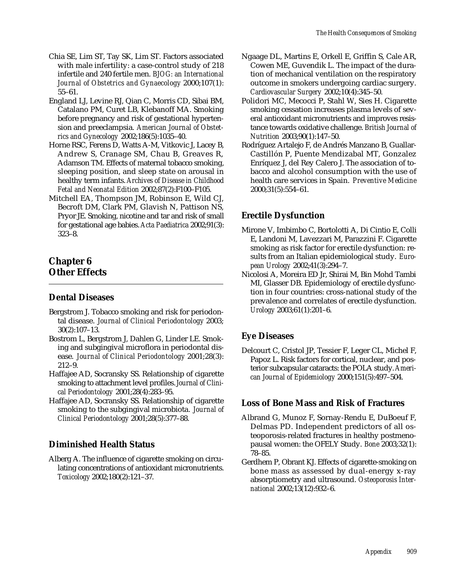- Chia SE, Lim ST, Tay SK, Lim ST. Factors associated with male infertility: a case-control study of 218 infertile and 240 fertile men. *BJOG: an International Journal of Obstetrics and Gynaecology* 2000;107(1): 55–61.
- England LJ, Levine RJ, Qian C, Morris CD, Sibai BM, Catalano PM, Curet LB, Klebanoff MA. Smoking before pregnancy and risk of gestational hypertension and preeclampsia. *American Journal of Obstetrics and Gynecology* 2002;186(5):1035–40.
- Horne RSC, Ferens D, Watts A-M, Vitkovic J, Lacey B, Andrew S, Cranage SM, Chau B, Greaves R, Adamson TM. Effects of maternal tobacco smoking, sleeping position, and sleep state on arousal in healthy term infants. *Archives of Disease in Childhood Fetal and Neonatal Edition* 2002;87(2):F100–F105.
- Mitchell EA, Thompson JM, Robinson E, Wild CJ, Becroft DM, Clark PM, Glavish N, Pattison NS, Pryor JE. Smoking, nicotine and tar and risk of small for gestational age babies. *Acta Paediatrica* 2002;91(3): 323–8.

# **Chapter 6 Other Effects**

# **Dental Diseases**

- Bergstrom J. Tobacco smoking and risk for periodontal disease. *Journal of Clinical Periodontology* 2003; 30(2):107–13.
- Bostrom L, Bergstrom J, Dahlen G, Linder LE. Smoking and subgingival microflora in periodontal disease. *Journal of Clinical Periodontology* 2001;28(3): 212–9.
- Haffajee AD, Socransky SS. Relationship of cigarette smoking to attachment level profiles. *Journal of Clinical Periodontology* 2001;28(4):283–95.
- Haffajee AD, Socransky SS. Relationship of cigarette smoking to the subgingival microbiota. *Journal of Clinical Periodontology* 2001;28(5):377–88.

# **Diminished Health Status**

Alberg A. The influence of cigarette smoking on circulating concentrations of antioxidant micronutrients. *Toxicology* 2002;180(2):121–37.

- Ngaage DL, Martins E, Orkell E, Griffin S, Cale AR, Cowen ME, Guvendik L. The impact of the duration of mechanical ventilation on the respiratory outcome in smokers undergoing cardiac surgery. *Cardiovascular Surgery* 2002;10(4):345–50.
- Polidori MC, Mecocci P, Stahl W, Sies H. Cigarette smoking cessation increases plasma levels of several antioxidant micronutrients and improves resistance towards oxidative challenge. *British Journal of Nutrition* 2003;90(1):147–50.
- Rodríguez Artalejo F, de Andrés Manzano B, Guallar-Castillón P, Puente Mendizabal MT, Gonzalez Enríquez J, del Rey Calero J. The association of tobacco and alcohol consumption with the use of health care services in Spain. *Preventive Medicine*  2000;31(5):554–61.

# **Erectile Dysfunction**

- Mirone V, Imbimbo C, Bortolotti A, Di Cintio E, Colli E, Landoni M, Lavezzari M, Parazzini F. Cigarette smoking as risk factor for erectile dysfunction: results from an Italian epidemiological study. *European Urology* 2002;41(3):294–7.
- Nicolosi A, Moreira ED Jr, Shirai M, Bin Mohd Tambi MI, Glasser DB. Epidemiology of erectile dysfunction in four countries: cross-national study of the prevalence and correlates of erectile dysfunction. *Urology* 2003;61(1):201–6.

# **Eye Diseases**

Delcourt C, Cristol JP, Tessier F, Leger CL, Michel F, Papoz L. Risk factors for cortical, nuclear, and posterior subcapsular cataracts: the POLA study. *American Journal of Epidemiology* 2000;151(5):497–504.

#### **Loss of Bone Mass and Risk of Fractures**

- Albrand G, Munoz F, Sornay-Rendu E, DuBoeuf F, Delmas PD. Independent predictors of all osteoporosis-related fractures in healthy postmenopausal women: the OFELY Study. *Bone* 2003;32(1): 78–85.
- Gerdhem P, Obrant KJ. Effects of cigarette-smoking on bone mass as assessed by dual-energy x-ray absorptiometry and ultrasound. *Osteoporosis International* 2002;13(12):932–6.